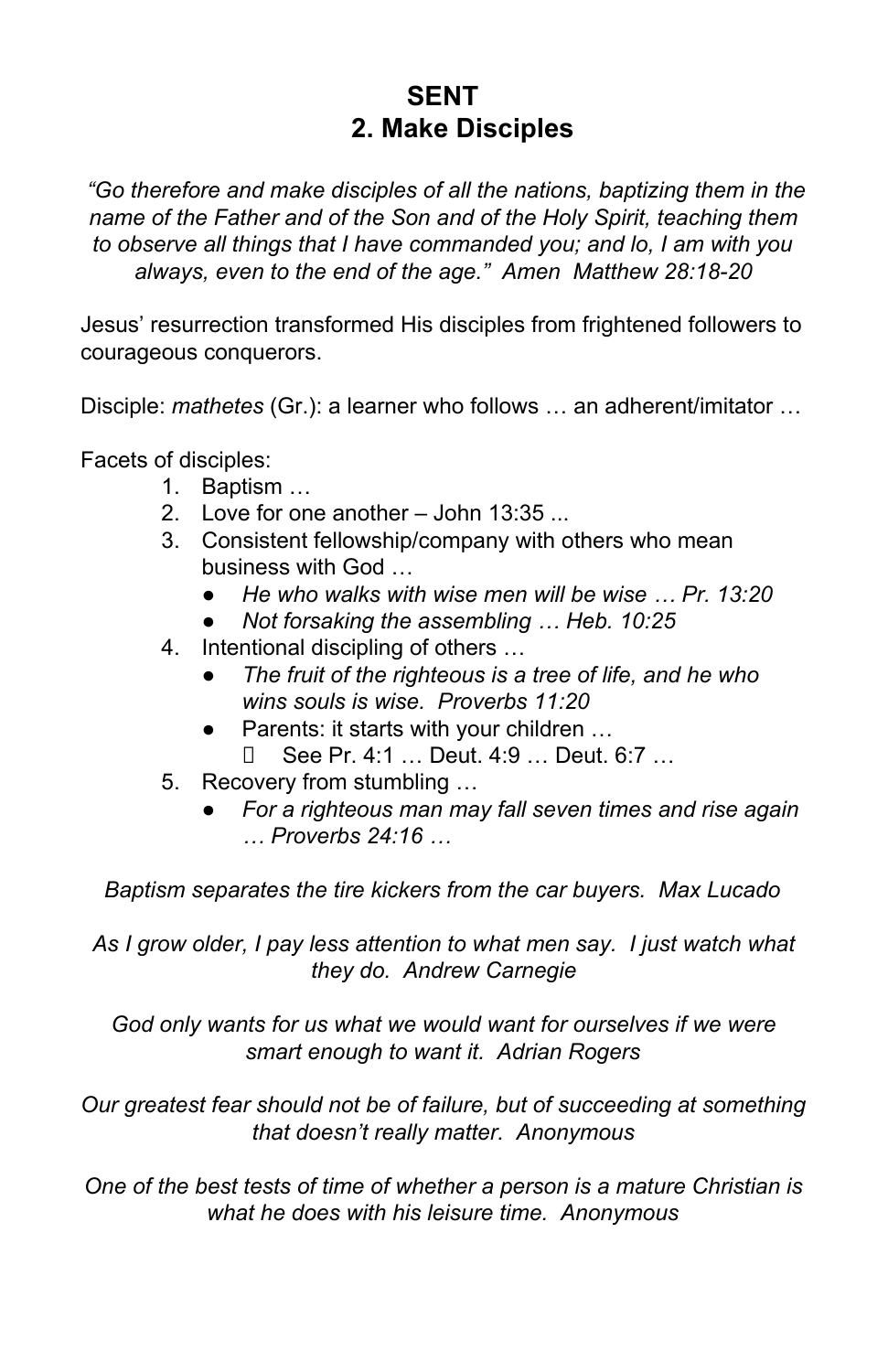## **SENT 2. Make Disciples**

*"Go therefore and make disciples of all the nations, baptizing them in the name of the Father and of the Son and of the Holy Spirit, teaching them to observe all things that I have commanded you; and lo, I am with you always, even to the end of the age." Amen Matthew 28:18-20*

Jesus' resurrection transformed His disciples from frightened followers to courageous conquerors.

Disciple: *mathetes* (Gr.): a learner who follows … an adherent/imitator …

Facets of disciples:

- 1. Baptism …
- 2. Love for one another John 13:35 ...
- 3. Consistent fellowship/company with others who mean business with God …
	- *He who walks with wise men will be wise … Pr. 13:20*
	- *Not forsaking the assembling … Heb. 10:25*
- 4. Intentional discipling of others …
	- *The fruit of the righteous is a tree of life, and he who wins souls is wise. Proverbs 11:20*
	- Parents: it starts with your children … See Pr. 4:1 … Deut. 4:9 … Deut. 6:7 …
- 5. Recovery from stumbling …
	- *For a righteous man may fall seven times and rise again … Proverbs 24:16 …*

*Baptism separates the tire kickers from the car buyers. Max Lucado*

*As I grow older, I pay less attention to what men say. I just watch what they do. Andrew Carnegie*

*God only wants for us what we would want for ourselves if we were smart enough to want it. Adrian Rogers*

*Our greatest fear should not be of failure, but of succeeding at something that doesn't really matter. Anonymous*

*One of the best tests of time of whether a person is a mature Christian is what he does with his leisure time. Anonymous*